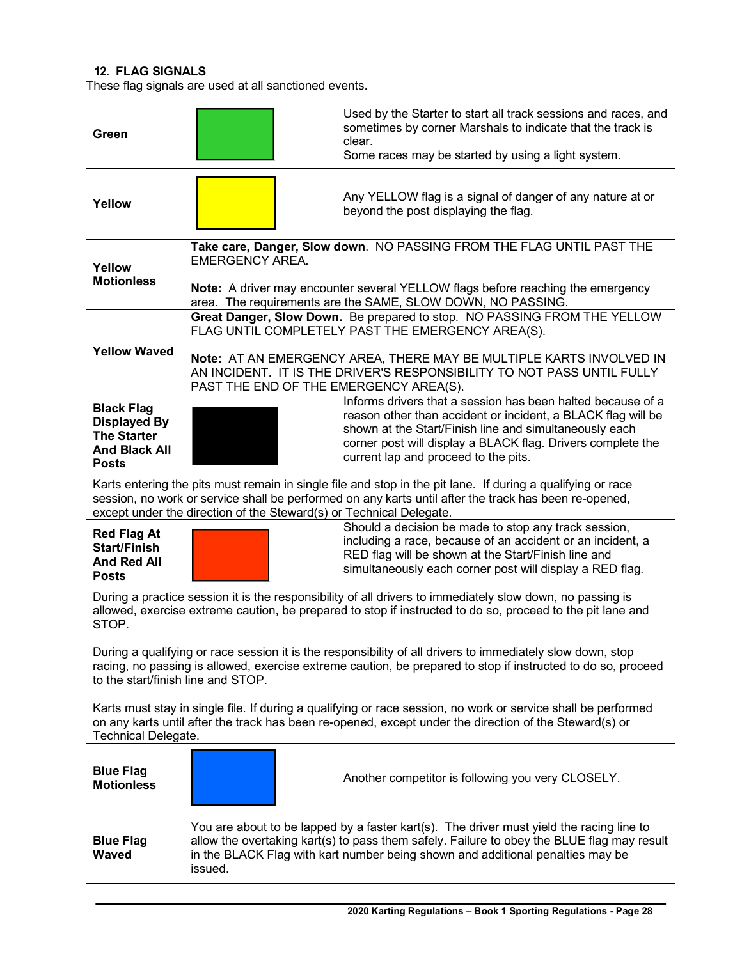## **12. FLAG SIGNALS**

These flag signals are used at all sanctioned events.

| Green                                                                                                                                                                                                                                                                                       | Used by the Starter to start all track sessions and races, and<br>sometimes by corner Marshals to indicate that the track is<br>clear.<br>Some races may be started by using a light system.                                                                                                                                                                                            |  |  |  |
|---------------------------------------------------------------------------------------------------------------------------------------------------------------------------------------------------------------------------------------------------------------------------------------------|-----------------------------------------------------------------------------------------------------------------------------------------------------------------------------------------------------------------------------------------------------------------------------------------------------------------------------------------------------------------------------------------|--|--|--|
| Yellow                                                                                                                                                                                                                                                                                      | Any YELLOW flag is a signal of danger of any nature at or<br>beyond the post displaying the flag.                                                                                                                                                                                                                                                                                       |  |  |  |
| Yellow<br><b>Motionless</b>                                                                                                                                                                                                                                                                 | Take care, Danger, Slow down. NO PASSING FROM THE FLAG UNTIL PAST THE<br><b>EMERGENCY AREA.</b><br>Note: A driver may encounter several YELLOW flags before reaching the emergency                                                                                                                                                                                                      |  |  |  |
| <b>Yellow Waved</b>                                                                                                                                                                                                                                                                         | area. The requirements are the SAME, SLOW DOWN, NO PASSING.<br>Great Danger, Slow Down. Be prepared to stop. NO PASSING FROM THE YELLOW<br>FLAG UNTIL COMPLETELY PAST THE EMERGENCY AREA(S).<br>Note: AT AN EMERGENCY AREA, THERE MAY BE MULTIPLE KARTS INVOLVED IN<br>AN INCIDENT. IT IS THE DRIVER'S RESPONSIBILITY TO NOT PASS UNTIL FULLY<br>PAST THE END OF THE EMERGENCY AREA(S). |  |  |  |
| <b>Black Flag</b><br><b>Displayed By</b><br><b>The Starter</b><br><b>And Black All</b><br><b>Posts</b>                                                                                                                                                                                      | Informs drivers that a session has been halted because of a<br>reason other than accident or incident, a BLACK flag will be<br>shown at the Start/Finish line and simultaneously each<br>corner post will display a BLACK flag. Drivers complete the<br>current lap and proceed to the pits.                                                                                            |  |  |  |
| Karts entering the pits must remain in single file and stop in the pit lane. If during a qualifying or race<br>session, no work or service shall be performed on any karts until after the track has been re-opened,<br>except under the direction of the Steward(s) or Technical Delegate. |                                                                                                                                                                                                                                                                                                                                                                                         |  |  |  |
| <b>Red Flag At</b><br><b>Start/Finish</b><br><b>And Red All</b><br><b>Posts</b>                                                                                                                                                                                                             | Should a decision be made to stop any track session,<br>including a race, because of an accident or an incident, a<br>RED flag will be shown at the Start/Finish line and<br>simultaneously each corner post will display a RED flag.                                                                                                                                                   |  |  |  |
| During a practice session it is the responsibility of all drivers to immediately slow down, no passing is<br>allowed, exercise extreme caution, be prepared to stop if instructed to do so, proceed to the pit lane and<br>STOP.                                                            |                                                                                                                                                                                                                                                                                                                                                                                         |  |  |  |
| During a qualifying or race session it is the responsibility of all drivers to immediately slow down, stop<br>racing, no passing is allowed, exercise extreme caution, be prepared to stop if instructed to do so, proceed<br>to the start/finish line and STOP.                            |                                                                                                                                                                                                                                                                                                                                                                                         |  |  |  |
| Karts must stay in single file. If during a qualifying or race session, no work or service shall be performed<br>on any karts until after the track has been re-opened, except under the direction of the Steward(s) or<br>Technical Delegate.                                              |                                                                                                                                                                                                                                                                                                                                                                                         |  |  |  |
| <b>Blue Flag</b><br><b>Motionless</b>                                                                                                                                                                                                                                                       | Another competitor is following you very CLOSELY.                                                                                                                                                                                                                                                                                                                                       |  |  |  |
| <b>Blue Flag</b><br><b>Waved</b>                                                                                                                                                                                                                                                            | You are about to be lapped by a faster kart(s). The driver must yield the racing line to<br>allow the overtaking kart(s) to pass them safely. Failure to obey the BLUE flag may result<br>in the BLACK Flag with kart number being shown and additional penalties may be<br>issued.                                                                                                     |  |  |  |